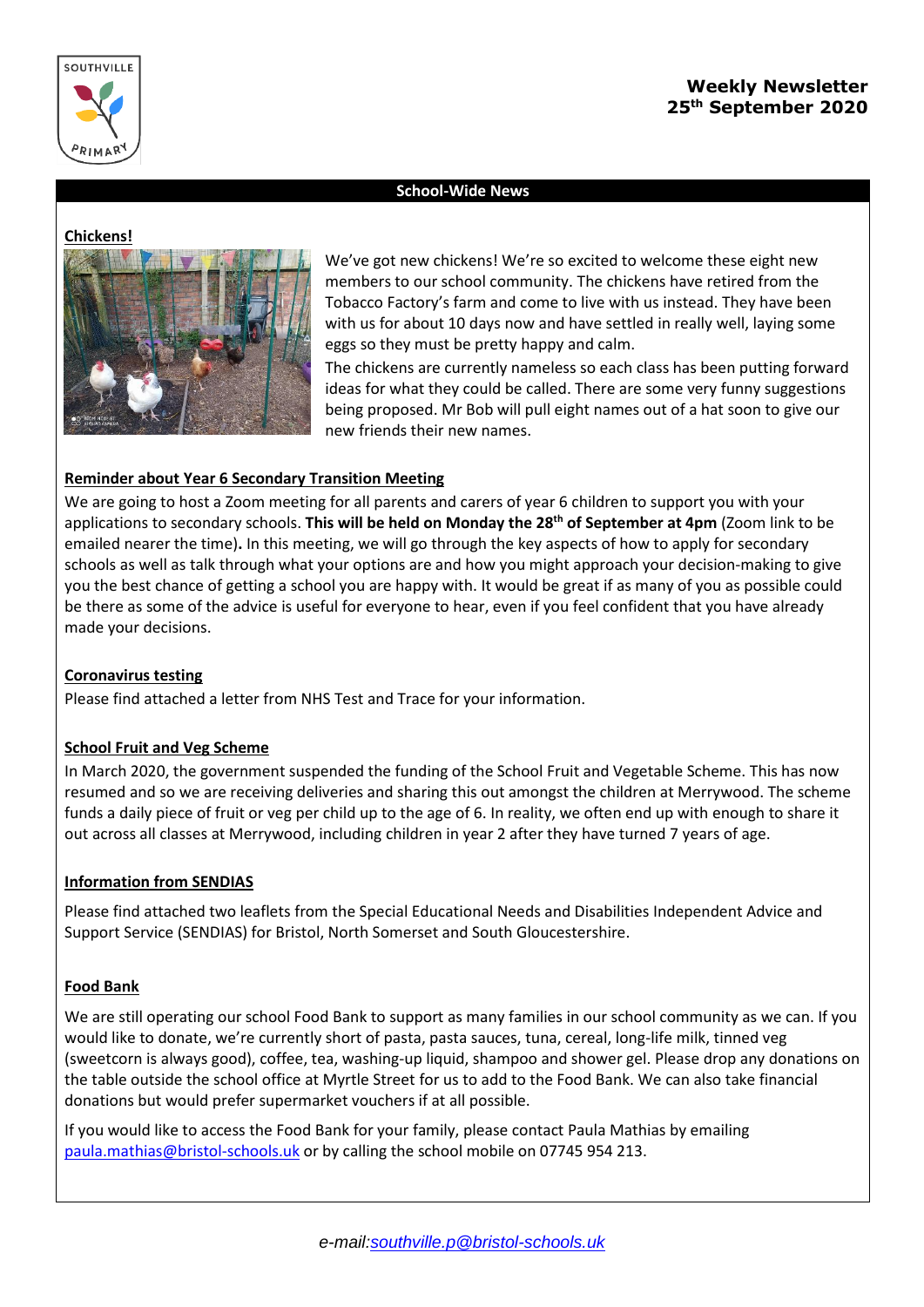

### **School-Wide News**

#### **Chickens!**



We've got new chickens! We're so excited to welcome these eight new members to our school community. The chickens have retired from the Tobacco Factory's farm and come to live with us instead. They have been with us for about 10 days now and have settled in really well, laying some eggs so they must be pretty happy and calm.

The chickens are currently nameless so each class has been putting forward ideas for what they could be called. There are some very funny suggestions being proposed. Mr Bob will pull eight names out of a hat soon to give our new friends their new names.

### **Reminder about Year 6 Secondary Transition Meeting**

We are going to host a Zoom meeting for all parents and carers of year 6 children to support you with your applications to secondary schools. **This will be held on Monday the 28th of September at 4pm** (Zoom link to be emailed nearer the time)**.** In this meeting, we will go through the key aspects of how to apply for secondary schools as well as talk through what your options are and how you might approach your decision-making to give you the best chance of getting a school you are happy with. It would be great if as many of you as possible could be there as some of the advice is useful for everyone to hear, even if you feel confident that you have already made your decisions.

# **Coronavirus testing**

Please find attached a letter from NHS Test and Trace for your information.

### **School Fruit and Veg Scheme**

In March 2020, the government suspended the funding of the School Fruit and Vegetable Scheme. This has now resumed and so we are receiving deliveries and sharing this out amongst the children at Merrywood. The scheme funds a daily piece of fruit or veg per child up to the age of 6. In reality, we often end up with enough to share it out across all classes at Merrywood, including children in year 2 after they have turned 7 years of age.

# **Information from SENDIAS**

Please find attached two leaflets from the Special Educational Needs and Disabilities Independent Advice and Support Service (SENDIAS) for Bristol, North Somerset and South Gloucestershire.

### **Food Bank**

We are still operating our school Food Bank to support as many families in our school community as we can. If you would like to donate, we're currently short of pasta, pasta sauces, tuna, cereal, long-life milk, tinned veg (sweetcorn is always good), coffee, tea, washing-up liquid, shampoo and shower gel. Please drop any donations on the table outside the school office at Myrtle Street for us to add to the Food Bank. We can also take financial donations but would prefer supermarket vouchers if at all possible.

If you would like to access the Food Bank for your family, please contact Paula Mathias by emailing [paula.mathias@bristol-schools.uk](mailto:paula.mathias@bristol-schools.uk) or by calling the school mobile on 07745 954 213.